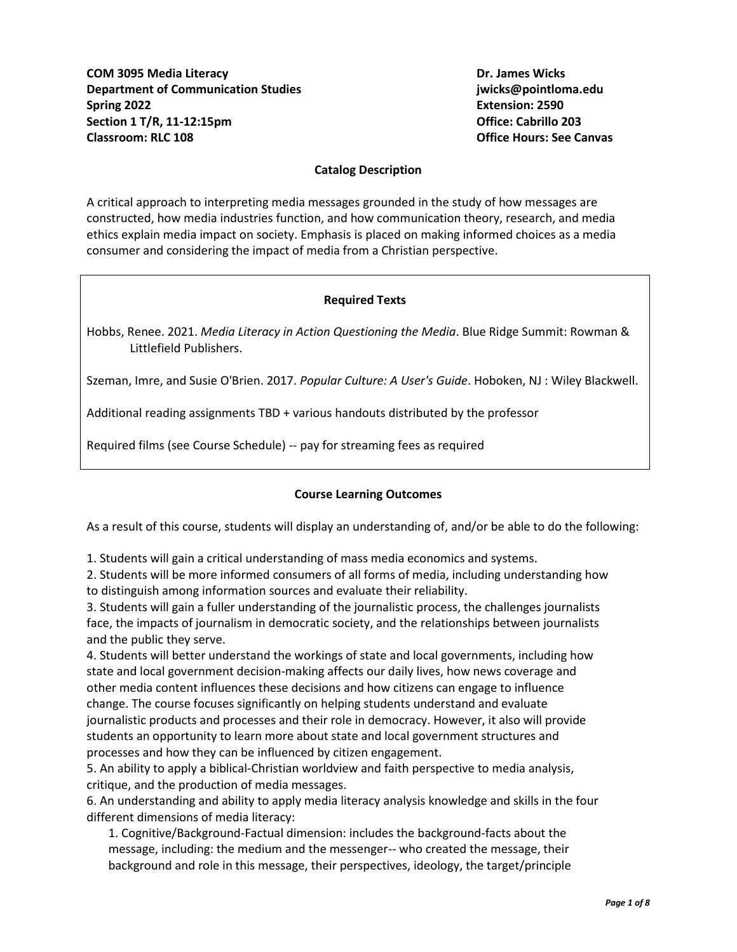## **Catalog Description**

A critical approach to interpreting media messages grounded in the study of how messages are constructed, how media industries function, and how communication theory, research, and media ethics explain media impact on society. Emphasis is placed on making informed choices as a media consumer and considering the impact of media from a Christian perspective.

## **Required Texts**

Hobbs, Renee. 2021. *Media Literacy in Action Questioning the Media*. Blue Ridge Summit: Rowman & Littlefield Publishers.

Szeman, Imre, and Susie O'Brien. 2017. *Popular Culture: A User's Guide*. Hoboken, NJ : Wiley Blackwell.

Additional reading assignments TBD + various handouts distributed by the professor

Required films (see Course Schedule) -- pay for streaming fees as required

# **Course Learning Outcomes**

As a result of this course, students will display an understanding of, and/or be able to do the following:

1. Students will gain a critical understanding of mass media economics and systems.

2. Students will be more informed consumers of all forms of media, including understanding how to distinguish among information sources and evaluate their reliability.

3. Students will gain a fuller understanding of the journalistic process, the challenges journalists face, the impacts of journalism in democratic society, and the relationships between journalists and the public they serve.

4. Students will better understand the workings of state and local governments, including how state and local government decision-making affects our daily lives, how news coverage and other media content influences these decisions and how citizens can engage to influence change. The course focuses significantly on helping students understand and evaluate journalistic products and processes and their role in democracy. However, it also will provide students an opportunity to learn more about state and local government structures and processes and how they can be influenced by citizen engagement.

5. An ability to apply a biblical-Christian worldview and faith perspective to media analysis, critique, and the production of media messages.

6. An understanding and ability to apply media literacy analysis knowledge and skills in the four different dimensions of media literacy:

1. Cognitive/Background-Factual dimension: includes the background-facts about the message, including: the medium and the messenger-- who created the message, their background and role in this message, their perspectives, ideology, the target/principle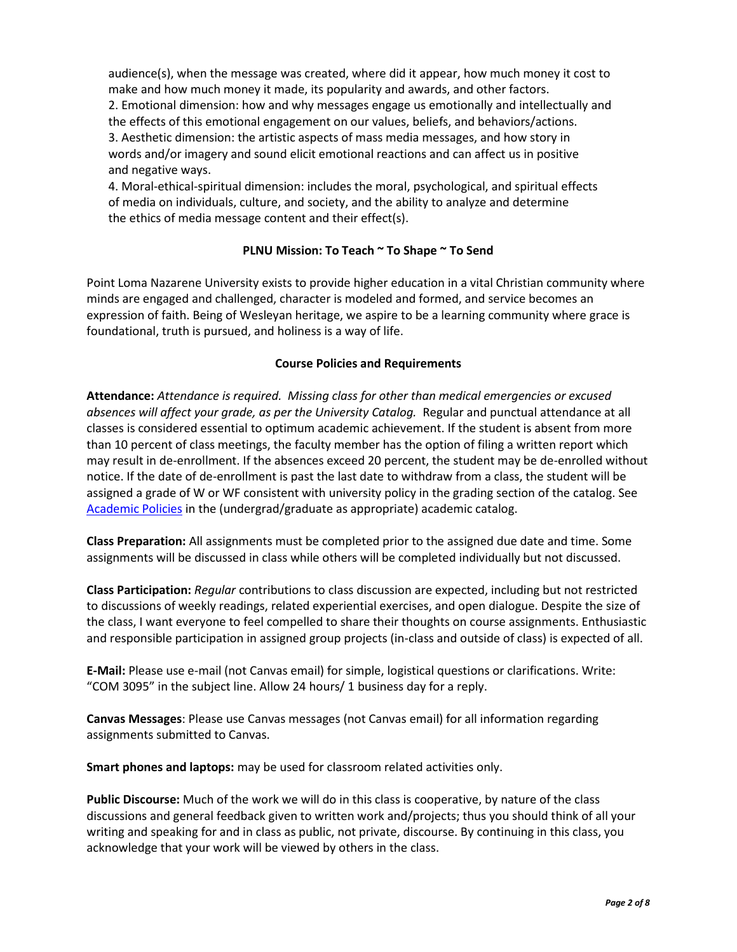audience(s), when the message was created, where did it appear, how much money it cost to make and how much money it made, its popularity and awards, and other factors. 2. Emotional dimension: how and why messages engage us emotionally and intellectually and the effects of this emotional engagement on our values, beliefs, and behaviors/actions. 3. Aesthetic dimension: the artistic aspects of mass media messages, and how story in words and/or imagery and sound elicit emotional reactions and can affect us in positive and negative ways.

4. Moral-ethical-spiritual dimension: includes the moral, psychological, and spiritual effects of media on individuals, culture, and society, and the ability to analyze and determine the ethics of media message content and their effect(s).

# **PLNU Mission: To Teach ~ To Shape ~ To Send**

Point Loma Nazarene University exists to provide higher education in a vital Christian community where minds are engaged and challenged, character is modeled and formed, and service becomes an expression of faith. Being of Wesleyan heritage, we aspire to be a learning community where grace is foundational, truth is pursued, and holiness is a way of life.

# **Course Policies and Requirements**

**Attendance:** *Attendance is required. Missing class for other than medical emergencies or excused absences will affect your grade, as per the University Catalog.* Regular and punctual attendance at all classes is considered essential to optimum academic achievement. If the student is absent from more than 10 percent of class meetings, the faculty member has the option of filing a written report which may result in de-enrollment. If the absences exceed 20 percent, the student may be de-enrolled without notice. If the date of de-enrollment is past the last date to withdraw from a class, the student will be assigned a grade of W or WF consistent with university policy in the grading section of the catalog. See [Academic Policies](http://catalog.pointloma.edu/content.php?catoid=24&navoid=1581) in the (undergrad/graduate as appropriate) academic catalog.

**Class Preparation:** All assignments must be completed prior to the assigned due date and time. Some assignments will be discussed in class while others will be completed individually but not discussed.

**Class Participation:** *Regular* contributions to class discussion are expected, including but not restricted to discussions of weekly readings, related experiential exercises, and open dialogue. Despite the size of the class, I want everyone to feel compelled to share their thoughts on course assignments. Enthusiastic and responsible participation in assigned group projects (in-class and outside of class) is expected of all.

**E-Mail:** Please use e-mail (not Canvas email) for simple, logistical questions or clarifications. Write: "COM 3095" in the subject line. Allow 24 hours/ 1 business day for a reply.

**Canvas Messages**: Please use Canvas messages (not Canvas email) for all information regarding assignments submitted to Canvas.

**Smart phones and laptops:** may be used for classroom related activities only.

**Public Discourse:** Much of the work we will do in this class is cooperative, by nature of the class discussions and general feedback given to written work and/projects; thus you should think of all your writing and speaking for and in class as public, not private, discourse. By continuing in this class, you acknowledge that your work will be viewed by others in the class.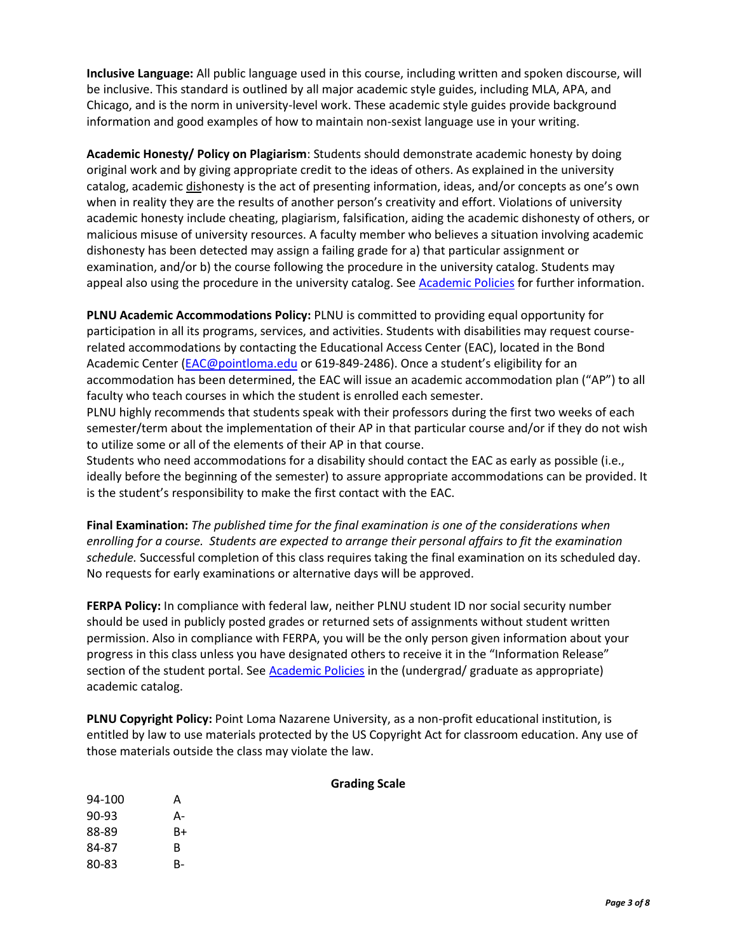**Inclusive Language:** All public language used in this course, including written and spoken discourse, will be inclusive. This standard is outlined by all major academic style guides, including MLA, APA, and Chicago, and is the norm in university-level work. These academic style guides provide background information and good examples of how to maintain non-sexist language use in your writing.

**Academic Honesty/ Policy on Plagiarism**: Students should demonstrate academic honesty by doing original work and by giving appropriate credit to the ideas of others. As explained in the university catalog, academic dishonesty is the act of presenting information, ideas, and/or concepts as one's own when in reality they are the results of another person's creativity and effort. Violations of university academic honesty include cheating, plagiarism, falsification, aiding the academic dishonesty of others, or malicious misuse of university resources. A faculty member who believes a situation involving academic dishonesty has been detected may assign a failing grade for a) that particular assignment or examination, and/or b) the course following the procedure in the university catalog. Students may appeal also using the procedure in the university catalog. See [Academic Policies](http://catalog.pointloma.edu/content.php?catoid=24&navoid=1581#Academic_Honesty) for further information.

**PLNU Academic Accommodations Policy:** PLNU is committed to providing equal opportunity for participation in all its programs, services, and activities. Students with disabilities may request courserelated accommodations by contacting the Educational Access Center (EAC), located in the Bond Academic Center [\(EAC@pointloma.edu](mailto:EAC@pointloma.edu) or 619-849-2486). Once a student's eligibility for an accommodation has been determined, the EAC will issue an academic accommodation plan ("AP") to all faculty who teach courses in which the student is enrolled each semester.

PLNU highly recommends that students speak with their professors during the first two weeks of each semester/term about the implementation of their AP in that particular course and/or if they do not wish to utilize some or all of the elements of their AP in that course.

Students who need accommodations for a disability should contact the EAC as early as possible (i.e., ideally before the beginning of the semester) to assure appropriate accommodations can be provided. It is the student's responsibility to make the first contact with the EAC.

**Final Examination:** *The published time for the final examination is one of the considerations when enrolling for a course. Students are expected to arrange their personal affairs to fit the examination schedule.* Successful completion of this class requires taking the final examination on its scheduled day. No requests for early examinations or alternative days will be approved.

**FERPA Policy:** In compliance with federal law, neither PLNU student ID nor social security number should be used in publicly posted grades or returned sets of assignments without student written permission. Also in compliance with FERPA, you will be the only person given information about your progress in this class unless you have designated others to receive it in the "Information Release" section of the student portal. See [Academic Policies](http://catalog.pointloma.edu/content.php?catoid=24&navoid=1581) in the (undergrad/ graduate as appropriate) academic catalog.

**PLNU Copyright Policy:** Point Loma Nazarene University, as a non-profit educational institution, is entitled by law to use materials protected by the US Copyright Act for classroom education. Any use of those materials outside the class may violate the law.

| 94-100 | А  |
|--------|----|
| 90-93  | А- |
| 88-89  | B+ |
| 84-87  | в  |
| 80-83  | B- |

# **Grading Scale**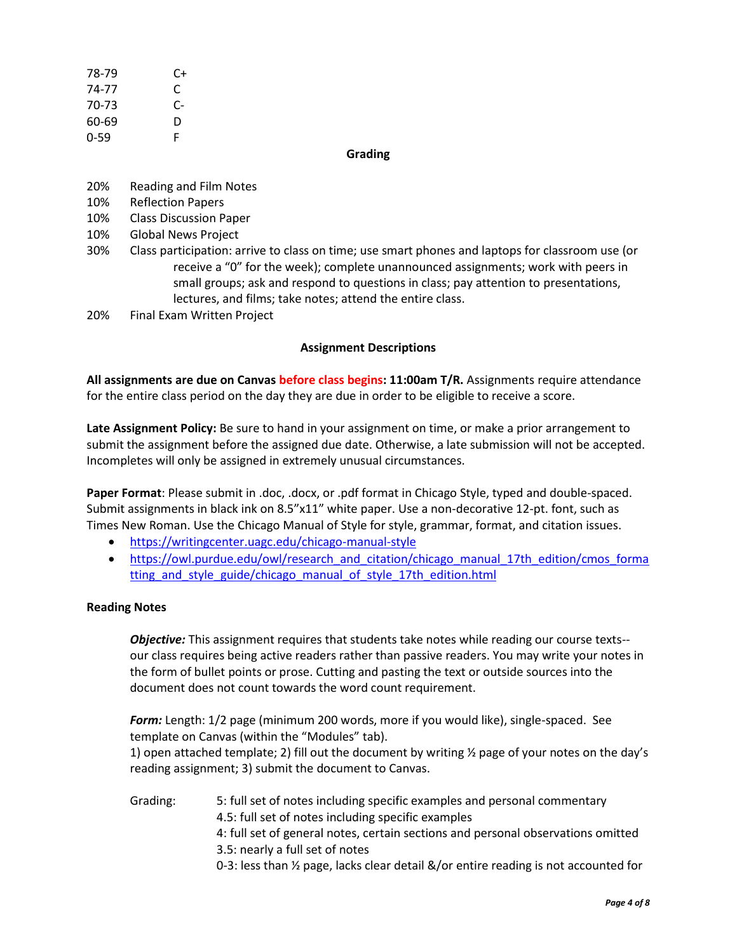| 78-79    | C+ |
|----------|----|
| 74-77    | C  |
| 70-73    | C- |
| 60-69    | D  |
| $0 - 59$ | F  |

### **Grading**

- 20% Reading and Film Notes
- 10% Reflection Papers
- 10% Class Discussion Paper
- 10% Global News Project
- 30% Class participation: arrive to class on time; use smart phones and laptops for classroom use (or receive a "0" for the week); complete unannounced assignments; work with peers in small groups; ask and respond to questions in class; pay attention to presentations, lectures, and films; take notes; attend the entire class.
- 20% Final Exam Written Project

### **Assignment Descriptions**

**All assignments are due on Canvas before class begins: 11:00am T/R.** Assignments require attendance for the entire class period on the day they are due in order to be eligible to receive a score.

**Late Assignment Policy:** Be sure to hand in your assignment on time, or make a prior arrangement to submit the assignment before the assigned due date. Otherwise, a late submission will not be accepted. Incompletes will only be assigned in extremely unusual circumstances.

**Paper Format**: Please submit in .doc, .docx, or .pdf format in Chicago Style, typed and double-spaced. Submit assignments in black ink on 8.5"x11" white paper. Use a non-decorative 12-pt. font, such as Times New Roman. Use the Chicago Manual of Style for style, grammar, format, and citation issues.

- <https://writingcenter.uagc.edu/chicago-manual-style>
- [https://owl.purdue.edu/owl/research\\_and\\_citation/chicago\\_manual\\_17th\\_edition/cmos\\_forma](https://owl.purdue.edu/owl/research_and_citation/chicago_manual_17th_edition/cmos_formatting_and_style_guide/chicago_manual_of_style_17th_edition.html) tting and style guide/chicago manual of style 17th edition.html

### **Reading Notes**

*Objective:* This assignment requires that students take notes while reading our course texts- our class requires being active readers rather than passive readers. You may write your notes in the form of bullet points or prose. Cutting and pasting the text or outside sources into the document does not count towards the word count requirement.

*Form:* Length: 1/2 page (minimum 200 words, more if you would like), single-spaced. See template on Canvas (within the "Modules" tab).

1) open attached template; 2) fill out the document by writing  $\frac{1}{2}$  page of your notes on the day's reading assignment; 3) submit the document to Canvas.

Grading: 5: full set of notes including specific examples and personal commentary 4.5: full set of notes including specific examples 4: full set of general notes, certain sections and personal observations omitted 3.5: nearly a full set of notes 0-3: less than ½ page, lacks clear detail &/or entire reading is not accounted for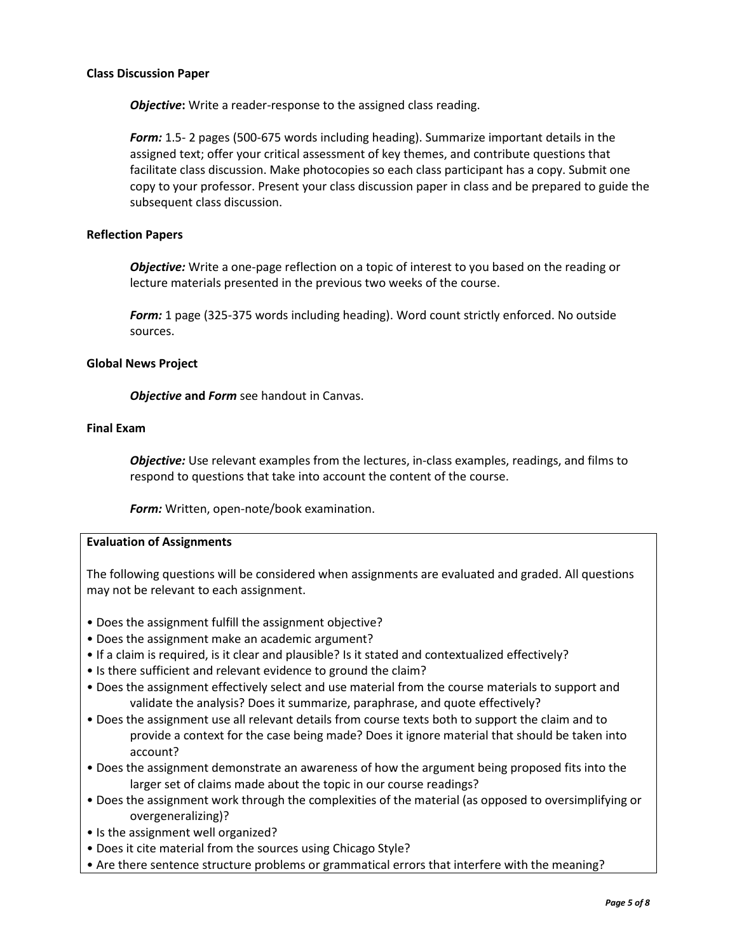### **Class Discussion Paper**

**Objective:** Write a reader-response to the assigned class reading.

*Form:* 1.5- 2 pages (500-675 words including heading). Summarize important details in the assigned text; offer your critical assessment of key themes, and contribute questions that facilitate class discussion. Make photocopies so each class participant has a copy. Submit one copy to your professor. Present your class discussion paper in class and be prepared to guide the subsequent class discussion.

### **Reflection Papers**

*Objective:* Write a one-page reflection on a topic of interest to you based on the reading or lecture materials presented in the previous two weeks of the course.

*Form:* 1 page (325-375 words including heading). Word count strictly enforced. No outside sources.

## **Global News Project**

*Objective* **and** *Form* see handout in Canvas.

### **Final Exam**

*Objective:* Use relevant examples from the lectures, in-class examples, readings, and films to respond to questions that take into account the content of the course.

*Form:* Written, open-note/book examination.

### **Evaluation of Assignments**

The following questions will be considered when assignments are evaluated and graded. All questions may not be relevant to each assignment.

- Does the assignment fulfill the assignment objective?
- Does the assignment make an academic argument?
- If a claim is required, is it clear and plausible? Is it stated and contextualized effectively?
- Is there sufficient and relevant evidence to ground the claim?
- Does the assignment effectively select and use material from the course materials to support and validate the analysis? Does it summarize, paraphrase, and quote effectively?
- Does the assignment use all relevant details from course texts both to support the claim and to provide a context for the case being made? Does it ignore material that should be taken into account?
- Does the assignment demonstrate an awareness of how the argument being proposed fits into the larger set of claims made about the topic in our course readings?
- Does the assignment work through the complexities of the material (as opposed to oversimplifying or overgeneralizing)?
- Is the assignment well organized?
- Does it cite material from the sources using Chicago Style?
- Are there sentence structure problems or grammatical errors that interfere with the meaning?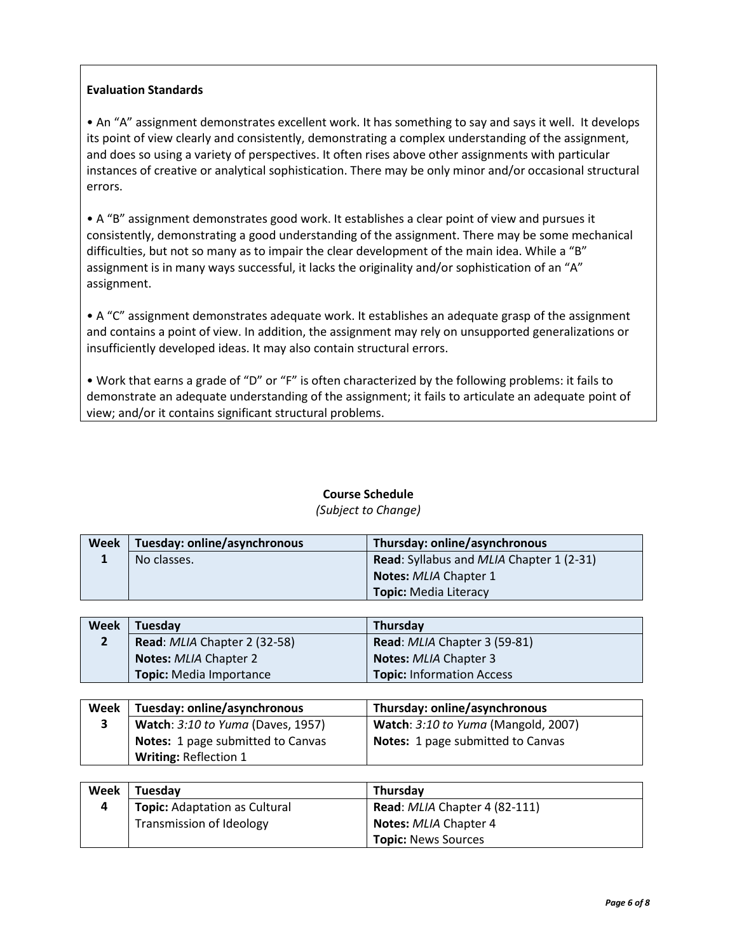# **Evaluation Standards**

• An "A" assignment demonstrates excellent work. It has something to say and says it well. It develops its point of view clearly and consistently, demonstrating a complex understanding of the assignment, and does so using a variety of perspectives. It often rises above other assignments with particular instances of creative or analytical sophistication. There may be only minor and/or occasional structural errors.

• A "B" assignment demonstrates good work. It establishes a clear point of view and pursues it consistently, demonstrating a good understanding of the assignment. There may be some mechanical difficulties, but not so many as to impair the clear development of the main idea. While a "B" assignment is in many ways successful, it lacks the originality and/or sophistication of an "A" assignment.

• A "C" assignment demonstrates adequate work. It establishes an adequate grasp of the assignment and contains a point of view. In addition, the assignment may rely on unsupported generalizations or insufficiently developed ideas. It may also contain structural errors.

• Work that earns a grade of "D" or "F" is often characterized by the following problems: it fails to demonstrate an adequate understanding of the assignment; it fails to articulate an adequate point of view; and/or it contains significant structural problems.

| Week   Tuesday: online/asynchronous | Thursday: online/asynchronous                          |
|-------------------------------------|--------------------------------------------------------|
| No classes.                         | <b>Read:</b> Syllabus and <i>MLIA</i> Chapter 1 (2-31) |
|                                     | Notes: MLIA Chapter 1                                  |
|                                     | <b>Topic: Media Literacy</b>                           |

# **Course Schedule**

### *(Subject to Change)*

| Week | Tuesday                        | <b>Thursday</b>                  |
|------|--------------------------------|----------------------------------|
|      | Read: MLIA Chapter 2 (32-58)   | Read: MLIA Chapter 3 (59-81)     |
|      | <b>Notes: MLIA Chapter 2</b>   | <b>Notes: MLIA Chapter 3</b>     |
|      | <b>Topic:</b> Media Importance | <b>Topic: Information Access</b> |

| Week | Tuesday: online/asynchronous             | Thursday: online/asynchronous       |
|------|------------------------------------------|-------------------------------------|
|      | <b>Watch: 3:10 to Yuma (Daves, 1957)</b> | Watch: 3:10 to Yuma (Mangold, 2007) |
|      | Notes: 1 page submitted to Canvas        | Notes: 1 page submitted to Canvas   |
|      | <b>Writing: Reflection 1</b>             |                                     |

| Week | Tuesday                              | Thursday                                    |
|------|--------------------------------------|---------------------------------------------|
|      | <b>Topic: Adaptation as Cultural</b> | <b>Read:</b> <i>MLIA</i> Chapter 4 (82-111) |
|      | Transmission of Ideology             | <b>Notes: MLIA Chapter 4</b>                |
|      |                                      | <b>Topic: News Sources</b>                  |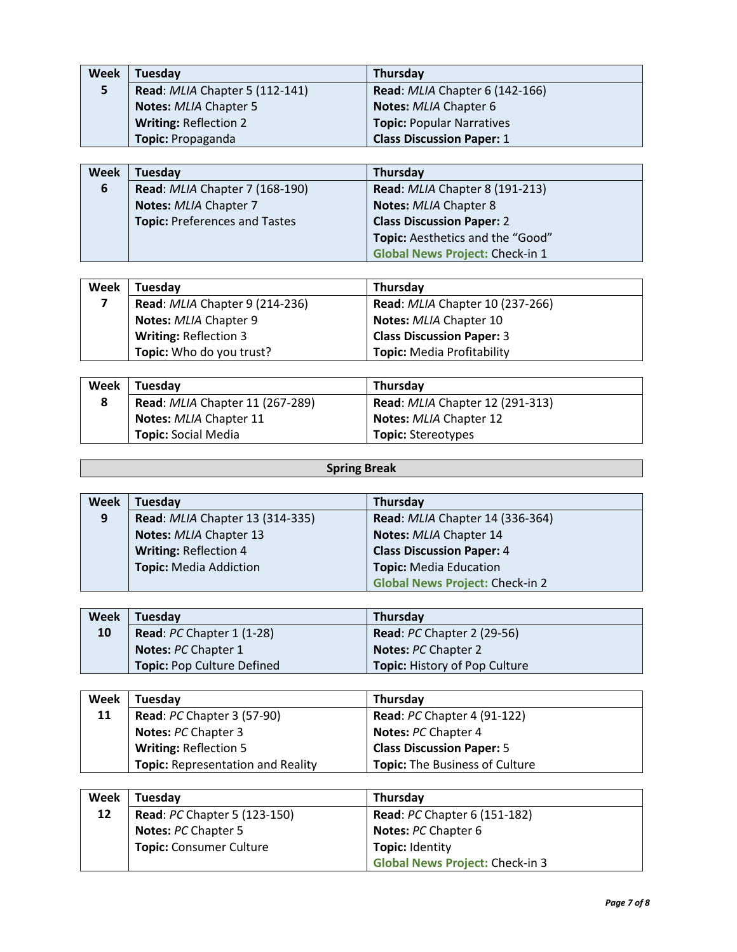| Week | Tuesday                        | Thursday                         |
|------|--------------------------------|----------------------------------|
| 5    | Read: MLIA Chapter 5 (112-141) | Read: MLIA Chapter 6 (142-166)   |
|      | <b>Notes: MLIA Chapter 5</b>   | Notes: MLIA Chapter 6            |
|      | <b>Writing: Reflection 2</b>   | <b>Topic: Popular Narratives</b> |
|      | Topic: Propaganda              | <b>Class Discussion Paper: 1</b> |

| Week | Tuesday                              | Thursday                               |
|------|--------------------------------------|----------------------------------------|
| 6    | Read: MLIA Chapter 7 (168-190)       | Read: MLIA Chapter 8 (191-213)         |
|      | Notes: MLIA Chapter 7                | <b>Notes: MLIA Chapter 8</b>           |
|      | <b>Topic: Preferences and Tastes</b> | <b>Class Discussion Paper: 2</b>       |
|      |                                      | Topic: Aesthetics and the "Good"       |
|      |                                      | <b>Global News Project: Check-in 1</b> |

| Week | <b>Tuesday</b>                 | Thursday                               |
|------|--------------------------------|----------------------------------------|
|      | Read: MLIA Chapter 9 (214-236) | <b>Read: MLIA Chapter 10 (237-266)</b> |
|      | Notes: MLIA Chapter 9          | Notes: MLIA Chapter 10                 |
|      | <b>Writing: Reflection 3</b>   | <b>Class Discussion Paper: 3</b>       |
|      | Topic: Who do you trust?       | <b>Topic: Media Profitability</b>      |

| Week | Tuesday                         | <b>Thursday</b>                        |
|------|---------------------------------|----------------------------------------|
| 8    | Read: MLIA Chapter 11 (267-289) | <b>Read: MLIA Chapter 12 (291-313)</b> |
|      | <b>Notes: MLIA Chapter 11</b>   | <b>Notes: MLIA Chapter 12</b>          |
|      | <b>Topic:</b> Social Media      | <b>Topic:</b> Stereotypes              |

# **Spring Break**

| Week | <b>Tuesday</b>                  | Thursday                               |
|------|---------------------------------|----------------------------------------|
| 9    | Read: MLIA Chapter 13 (314-335) | Read: MLIA Chapter 14 (336-364)        |
|      | Notes: MLIA Chapter 13          | Notes: MLIA Chapter 14                 |
|      | <b>Writing: Reflection 4</b>    | <b>Class Discussion Paper: 4</b>       |
|      | <b>Topic: Media Addiction</b>   | <b>Topic: Media Education</b>          |
|      |                                 | <b>Global News Project: Check-in 2</b> |

| Week | <b>Tuesday</b>                    | Thursday                             |
|------|-----------------------------------|--------------------------------------|
| 10   | <b>Read: PC Chapter 1 (1-28)</b>  | <b>Read: PC Chapter 2 (29-56)</b>    |
|      | <b>Notes: PC Chapter 1</b>        | <b>Notes: PC Chapter 2</b>           |
|      | <b>Topic: Pop Culture Defined</b> | <b>Topic: History of Pop Culture</b> |

| Week | Tuesday                                  | Thursday                           |
|------|------------------------------------------|------------------------------------|
| 11   | <b>Read: PC Chapter 3 (57-90)</b>        | <b>Read: PC Chapter 4 (91-122)</b> |
|      | <b>Notes: PC Chapter 3</b>               | <b>Notes: PC Chapter 4</b>         |
|      | <b>Writing: Reflection 5</b>             | <b>Class Discussion Paper: 5</b>   |
|      | <b>Topic: Representation and Reality</b> | Topic: The Business of Culture     |

| Week | Tuesday                             | Thursday                               |
|------|-------------------------------------|----------------------------------------|
| 12   | <b>Read: PC Chapter 5 (123-150)</b> | <b>Read: PC Chapter 6 (151-182)</b>    |
|      | <b>Notes: PC Chapter 5</b>          | <b>Notes: PC Chapter 6</b>             |
|      | Topic: Consumer Culture             | <b>Topic: Identity</b>                 |
|      |                                     | <b>Global News Project: Check-in 3</b> |